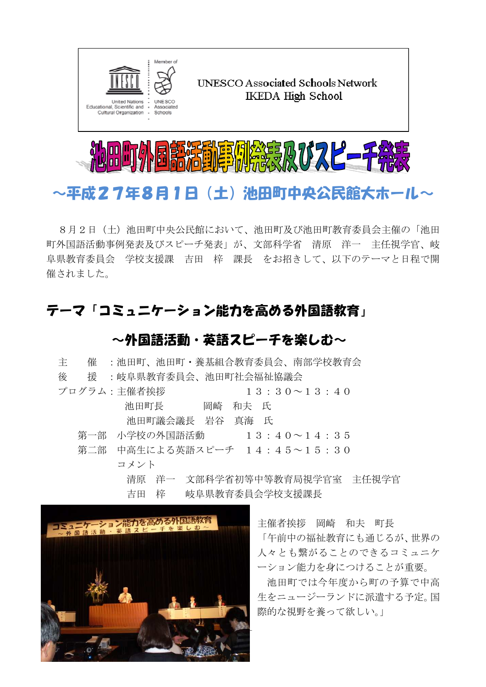



# ~平成27年8月1日(土)池田町中央公民館大ホール~

8月2日(土)池田町中央公民館において、池田町及び池田町教育委員会主催の「池田 町外国語活動事例発表及びスピーチ発表」が、文部科学省 清原 洋一 主任視学官、岐 阜県教育委員会 学校支援課 吉田 梓 課長 をお招きして、以下のテーマと日程で開 催されました。

## テーマ「コミュニケーション能力を高める外国語教育」

### ~外国語活動・英語スピーチを楽しむ~

| 主<br>催 | :池田町、池田町・養基組合教育委員会、南部学校教育会                    |
|--------|-----------------------------------------------|
| 後      | 援 : 岐阜県教育委員会、池田町社会福祉協議会                       |
|        | プログラム:主催者挨拶<br>$13:30 \sim 13:40$             |
|        | 池田町長<br>岡崎<br>和夫 氏                            |
|        | 池田町議会議長 岩谷 真海 氏                               |
|        | 第一部 小学校の外国語活動    13:40〜14:35                  |
|        | 第二部 中高生による英語スピーチ 14:45~15:30                  |
|        | コメント                                          |
|        | 清原 洋一 文部科学省初等中等教育局視学官室 主任視学官                  |
|        | 吉田 梓  岐阜県教育委員会学校支援課長                          |
|        |                                               |
|        | 1ミュニケーション能力を高める外国語<br>主催者挨拶<br>岡崎<br>和夫<br>町長 |

-1-

「午前中の福祉教育にも通じるが、世界の 人々とも繋がることのできるコミュニケ ーション能力を身につけることが重要。

池田町では今年度から町の予算で中高 生をニュージーランドに派遣する予定。国 際的な視野を養って欲しい。」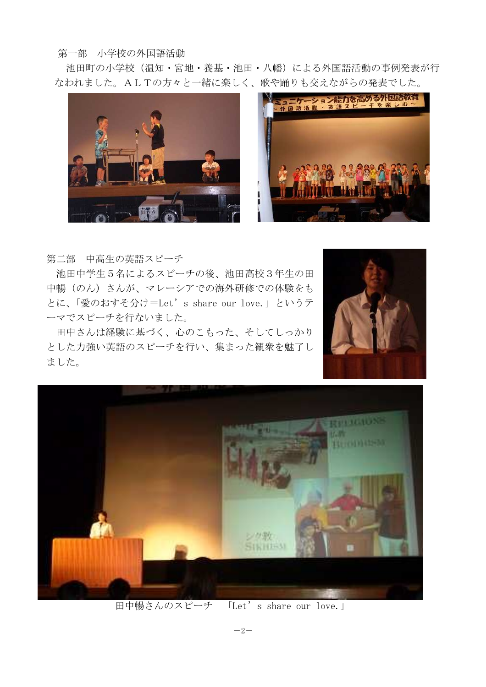#### 第一部 小学校の外国語活動

池田町の小学校(温知・宮地・養基・池田・八幡)による外国語活動の事例発表が行 なわれました。ALTの方々と一緒に楽しく、歌や踊りも交えながらの発表でした。





第二部 中高生の英語スピーチ

 池田中学生5名によるスピーチの後、池田高校3年生の田 中暢(のん)さんが、マレーシアでの海外研修での体験をも とに、「愛のおすそ分け=Let's share our love.」というテ ーマでスピーチを行ないました。

田中さんは経験に基づく、心のこもった、そしてしっかり とした力強い英語のスピーチを行い、集まった観衆を魅了し ました。





田中暢さんのスピーチ 「Let's share our love.」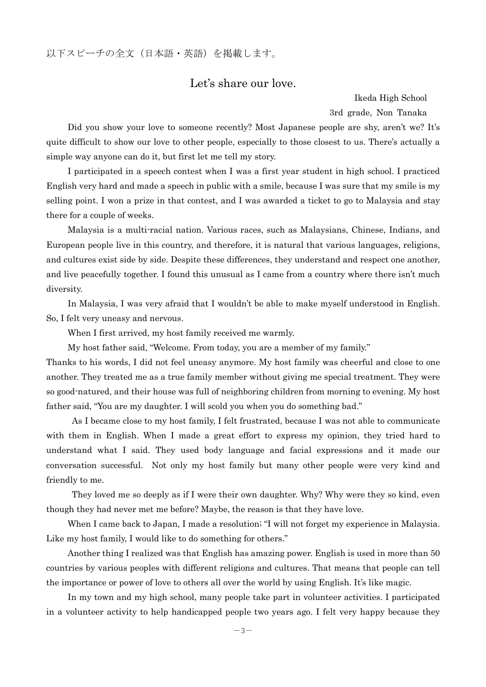以下スピーチの全文(日本語・英語)を掲載します。

#### Let's share our love.

Ikeda High School 3rd grade, Non Tanaka

Did you show your love to someone recently? Most Japanese people are shy, aren't we? It's quite difficult to show our love to other people, especially to those closest to us. There's actually a simple way anyone can do it, but first let me tell my story.

 I participated in a speech contest when I was a first year student in high school. I practiced English very hard and made a speech in public with a smile, because I was sure that my smile is my selling point. I won a prize in that contest, and I was awarded a ticket to go to Malaysia and stay there for a couple of weeks.

Malaysia is a multi-racial nation. Various races, such as Malaysians, Chinese, Indians, and European people live in this country, and therefore, it is natural that various languages, religions, and cultures exist side by side. Despite these differences, they understand and respect one another, and live peacefully together. I found this unusual as I came from a country where there isn't much diversity.

In Malaysia, I was very afraid that I wouldn't be able to make myself understood in English. So, I felt very uneasy and nervous.

When I first arrived, my host family received me warmly.

My host father said, "Welcome. From today, you are a member of my family."

Thanks to his words, I did not feel uneasy anymore. My host family was cheerful and close to one another. They treated me as a true family member without giving me special treatment. They were so good-natured, and their house was full of neighboring children from morning to evening. My host father said, "You are my daughter. I will scold you when you do something bad."

 As I became close to my host family, I felt frustrated, because I was not able to communicate with them in English. When I made a great effort to express my opinion, they tried hard to understand what I said. They used body language and facial expressions and it made our conversation successful. Not only my host family but many other people were very kind and friendly to me.

 They loved me so deeply as if I were their own daughter. Why? Why were they so kind, even though they had never met me before? Maybe, the reason is that they have love.

 When I came back to Japan, I made a resolution; "I will not forget my experience in Malaysia. Like my host family, I would like to do something for others."

 Another thing I realized was that English has amazing power. English is used in more than 50 countries by various peoples with different religions and cultures. That means that people can tell the importance or power of love to others all over the world by using English. It's like magic.

In my town and my high school, many people take part in volunteer activities. I participated in a volunteer activity to help handicapped people two years ago. I felt very happy because they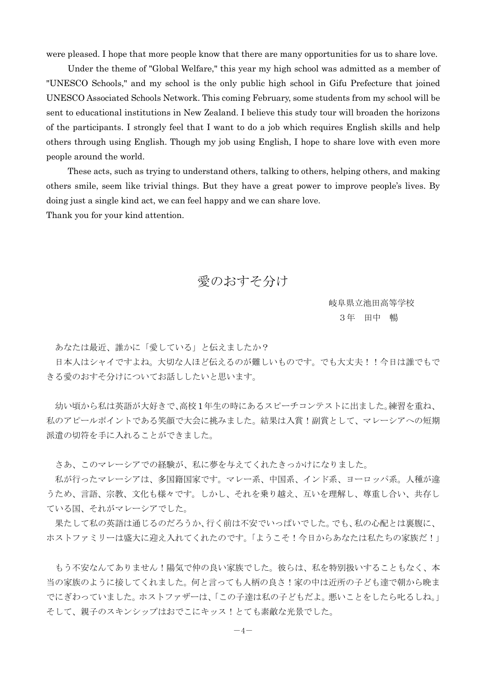were pleased. I hope that more people know that there are many opportunities for us to share love.

Under the theme of "Global Welfare," this year my high school was admitted as a member of "UNESCO Schools," and my school is the only public high school in Gifu Prefecture that joined UNESCO Associated Schools Network. This coming February, some students from my school will be sent to educational institutions in New Zealand. I believe this study tour will broaden the horizons of the participants. I strongly feel that I want to do a job which requires English skills and help others through using English. Though my job using English, I hope to share love with even more people around the world.

 These acts, such as trying to understand others, talking to others, helping others, and making others smile, seem like trivial things. But they have a great power to improve people's lives. By doing just a single kind act, we can feel happy and we can share love. Thank you for your kind attention.

### 愛のおすそ分け

岐阜県立池田高等学校 3年 田中 暢

あなたは最近、誰かに「愛している」と伝えましたか?

日本人はシャイですよね。大切な人ほど伝えるのが難しいものです。でも大丈夫!!今日は誰でもで きる愛のおすそ分けについてお話ししたいと思います。

幼い頃から私は英語が大好きで、高校 1年生の時にあるスピーチコンテストに出ました。練習を重ね、 私のアピールポイントである笑顔で大会に挑みました。結果は入賞!副賞として、マレーシアへの短期 派遣の切符を手に入れることができました。

さあ、このマレーシアでの経験が、私に夢を与えてくれたきっかけになりました。

 私が行ったマレーシアは、多国籍国家です。マレー系、中国系、インド系、ヨーロッパ系。人種が違 うため、言語、宗教、文化も様々です。しかし、それを乗り越え、互いを理解し、尊重し合い、共存し ている国、それがマレーシアでした。

 果たして私の英語は通じるのだろうか、行く前は不安でいっぱいでした。でも、私の心配とは裏腹に、 ホストファミリーは盛大に迎え入れてくれたのです。「ようこそ!今日からあなたは私たちの家族だ!」

 もう不安なんてありません!陽気で仲の良い家族でした。彼らは、私を特別扱いすることもなく、本 当の家族のように接してくれました。何と言っても人柄の良さ!家の中は近所の子ども達で朝から晩ま でにぎわっていました。ホストファザーは、「この子達は私の子どもだよ。悪いことをしたら叱るしね。」 そして、親子のスキンシップはおでこにキッス!とても素敵な光景でした。